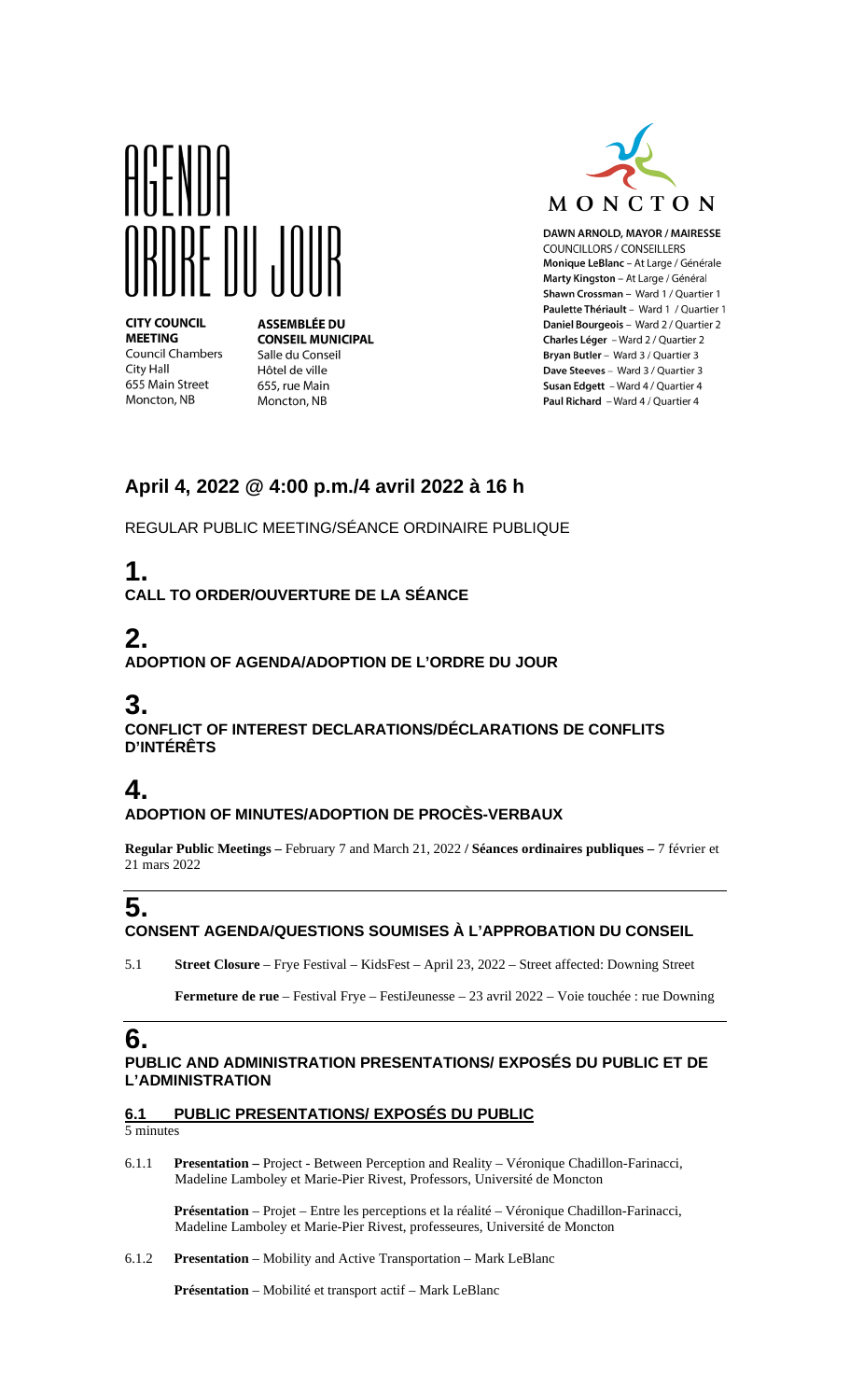

**CITY COUNCIL MEETING Council Chambers** City Hall 655 Main Street Moncton, NB

**ASSEMBLÉE DU CONSEIL MUNICIPAL** Salle du Conseil Hôtel de ville 655, rue Main Moncton, NB



DAWN ARNOLD, MAYOR / MAIRESSE **COUNCILLORS / CONSEILLERS** Monique LeBlanc - At Large / Générale Marty Kingston - At Large / Général Shawn Crossman - Ward 1 / Quartier 1 Paulette Thériault - Ward 1 / Quartier 1 Daniel Bourgeois - Ward 2 / Quartier 2 Charles Léger - Ward 2 / Quartier 2 Bryan Butler - Ward 3 / Quartier 3 Dave Steeves - Ward 3 / Quartier 3 Susan Edgett - Ward 4 / Quartier 4 Paul Richard - Ward 4 / Quartier 4

### **April 4, 2022 @ 4:00 p.m./4 avril 2022 à 16 h**

REGULAR PUBLIC MEETING/SÉANCE ORDINAIRE PUBLIQUE

## **1.**

**CALL TO ORDER/OUVERTURE DE LA SÉANCE**

## **2.**

**ADOPTION OF AGENDA/ADOPTION DE L'ORDRE DU JOUR**

### **3.**

**CONFLICT OF INTEREST DECLARATIONS/DÉCLARATIONS DE CONFLITS D'INTÉRÊTS**

## **4.**

#### **ADOPTION OF MINUTES/ADOPTION DE PROCÈS-VERBAUX**

**Regular Public Meetings –** February 7 and March 21, 2022 **/ Séances ordinaires publiques –** 7 février et 21 mars 2022

## **5.**

#### **CONSENT AGENDA/QUESTIONS SOUMISES À L'APPROBATION DU CONSEIL**

5.1 **Street Closure** – Frye Festival – KidsFest – April 23, 2022 – Street affected: Downing Street

**Fermeture de rue** – Festival Frye – FestiJeunesse – 23 avril 2022 – Voie touchée : rue Downing

# **6.**

#### **PUBLIC AND ADMINISTRATION PRESENTATIONS/ EXPOSÉS DU PUBLIC ET DE L'ADMINISTRATION**

**6.1 PUBLIC PRESENTATIONS/ EXPOSÉS DU PUBLIC**

5 minutes

6.1.1 **Presentation –** Project - Between Perception and Reality – Véronique Chadillon-Farinacci, Madeline Lamboley et Marie-Pier Rivest, Professors, Université de Moncton

**Présentation** – Projet – Entre les perceptions et la réalité – Véronique Chadillon-Farinacci, Madeline Lamboley et Marie-Pier Rivest, professeures, Université de Moncton

6.1.2 **Presentation** – Mobility and Active Transportation – Mark LeBlanc

**Présentation** – Mobilité et transport actif – Mark LeBlanc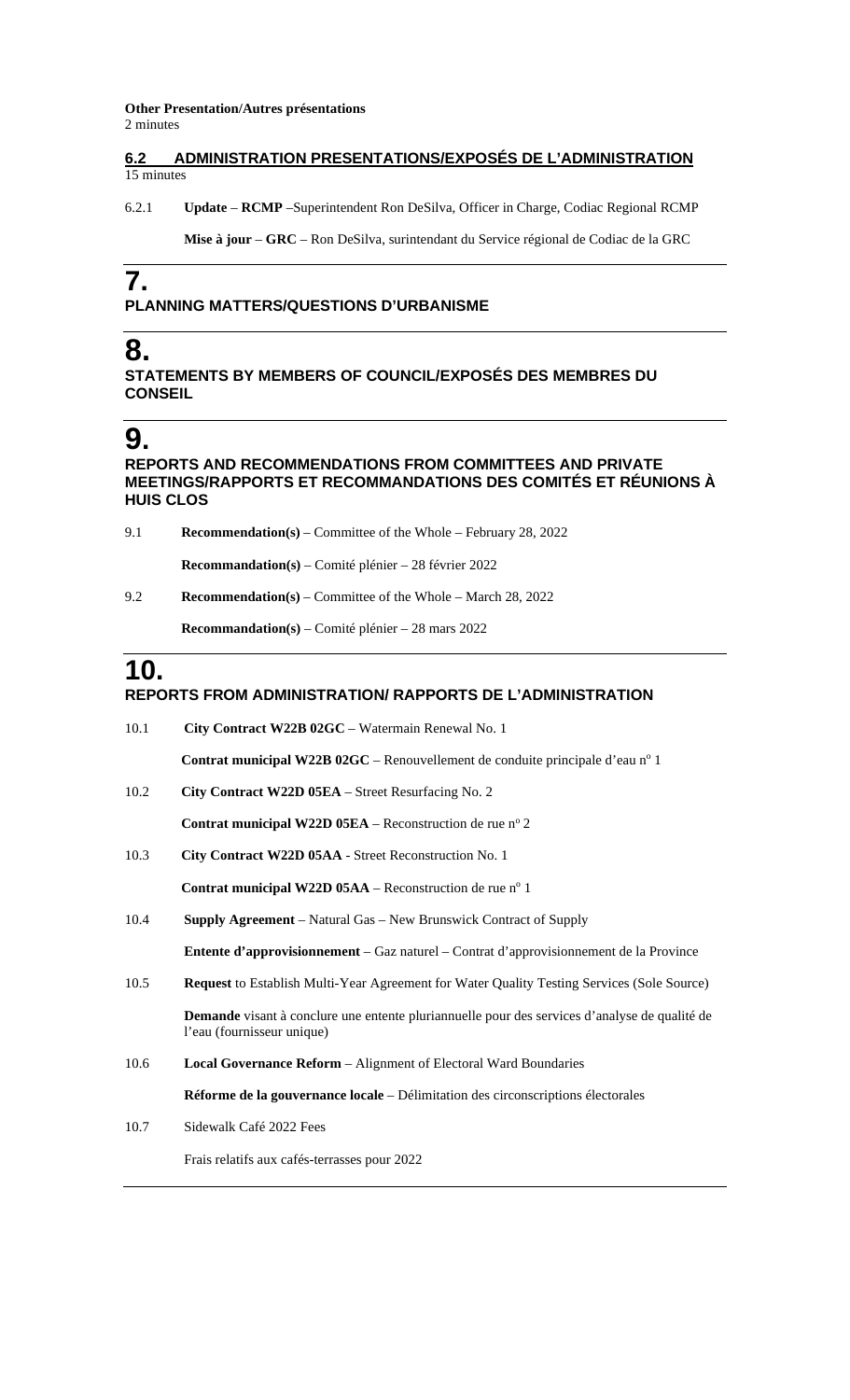**Other Presentation/Autres présentations** 

2 minutes

#### **6.2 ADMINISTRATION PRESENTATIONS/EXPOSÉS DE L'ADMINISTRATION**  15 minutes

6.2.1 **Update** – **RCMP** –Superintendent Ron DeSilva, Officer in Charge, Codiac Regional RCMP

**Mise à jour** – **GRC** – Ron DeSilva, surintendant du Service régional de Codiac de la GRC

## **7.**

#### **PLANNING MATTERS/QUESTIONS D'URBANISME**

### **8.**

**STATEMENTS BY MEMBERS OF COUNCIL/EXPOSÉS DES MEMBRES DU CONSEIL**

### **9.**

#### **REPORTS AND RECOMMENDATIONS FROM COMMITTEES AND PRIVATE MEETINGS/RAPPORTS ET RECOMMANDATIONS DES COMITÉS ET RÉUNIONS À HUIS CLOS**

9.1 **Recommendation(s)** – Committee of the Whole – February 28, 2022

**Recommandation(s)** – Comité plénier – 28 février 2022

9.2 **Recommendation(s)** – Committee of the Whole – March 28, 2022

**Recommandation(s)** – Comité plénier – 28 mars 2022

### **10.**

#### **REPORTS FROM ADMINISTRATION/ RAPPORTS DE L'ADMINISTRATION**

| 10.1 | City Contract W22B 02GC - Watermain Renewal No. 1                                                                           |
|------|-----------------------------------------------------------------------------------------------------------------------------|
|      | <b>Contrat municipal W22B 02GC</b> – Renouvellement de conduite principale d'eau n° 1                                       |
| 10.2 | City Contract W22D 05EA - Street Resurfacing No. 2                                                                          |
|      | <b>Contrat municipal W22D 05EA</b> – Reconstruction de rue $n^{\circ}$ 2                                                    |
| 10.3 | City Contract W22D 05AA - Street Reconstruction No. 1                                                                       |
|      | Contrat municipal W22D $05AA$ – Reconstruction de rue n <sup>o</sup> 1                                                      |
| 10.4 | <b>Supply Agreement</b> – Natural Gas – New Brunswick Contract of Supply                                                    |
|      | <b>Entente d'approvisionnement</b> – Gaz naturel – Contrat d'approvisionnement de la Province                               |
| 10.5 | Request to Establish Multi-Year Agreement for Water Quality Testing Services (Sole Source)                                  |
|      | Demande visant à conclure une entente pluriannuelle pour des services d'analyse de qualité de<br>l'eau (fournisseur unique) |
| 10.6 | <b>Local Governance Reform</b> – Alignment of Electoral Ward Boundaries                                                     |
|      | Réforme de la gouvernance locale – Délimitation des circonscriptions électorales                                            |
| 10.7 | Sidewalk Café 2022 Fees                                                                                                     |
|      | Frais relatifs aux cafés-terrasses pour 2022                                                                                |